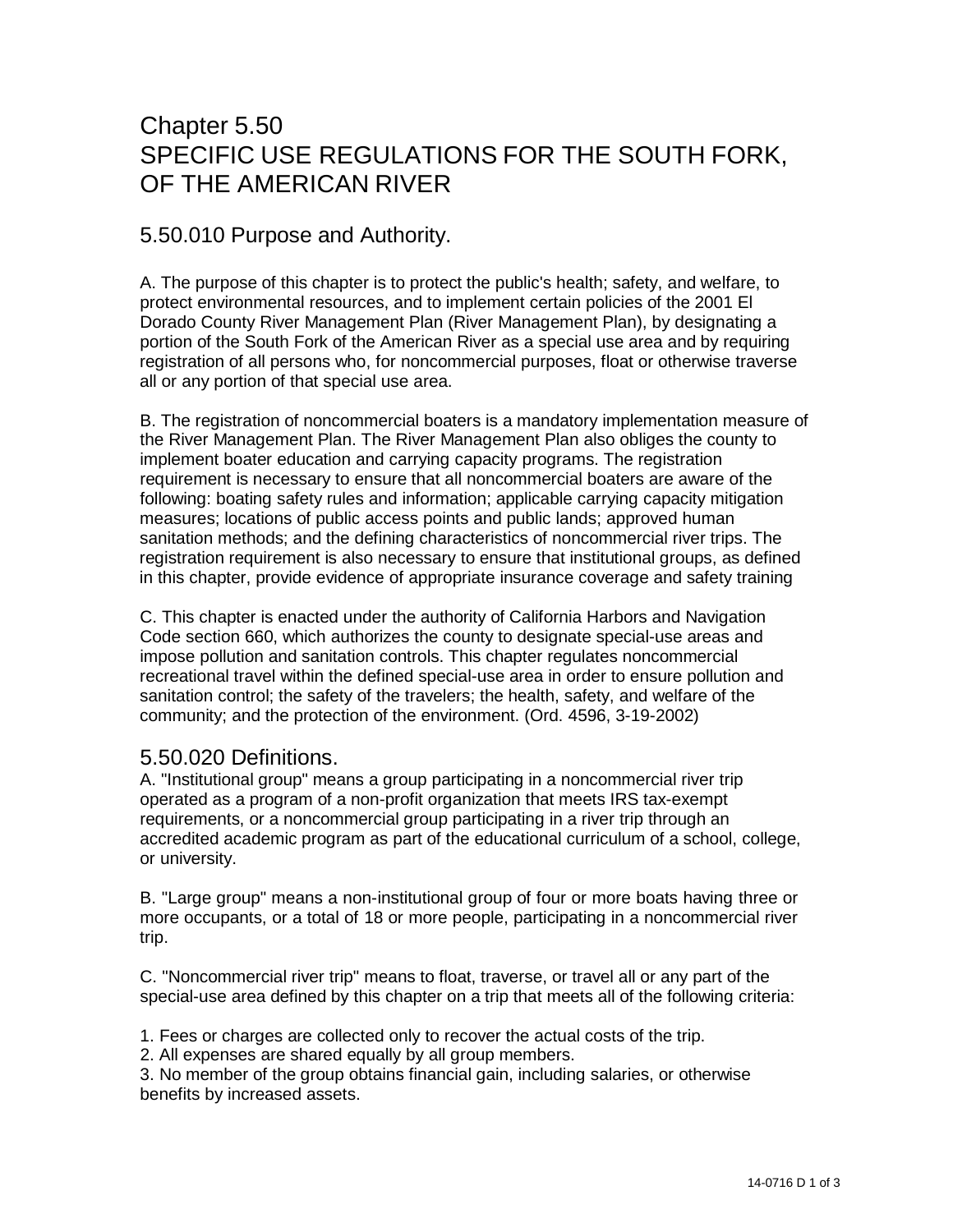# Chapter 5.50 SPECIFIC USE REGULATIONS FOR THE SOUTH FORK, OF THE AMERICAN RIVER

## 5.50.010 Purpose and Authority.

A. The purpose of this chapter is to protect the public's health; safety, and welfare, to protect environmental resources, and to implement certain policies of the 2001 El Dorado County River Management Plan (River Management Plan), by designating a portion of the South Fork of the American River as a special use area and by requiring registration of all persons who, for noncommercial purposes, float or otherwise traverse all or any portion of that special use area.

B. The registration of noncommercial boaters is a mandatory implementation measure of the River Management Plan. The River Management Plan also obliges the county to implement boater education and carrying capacity programs. The registration requirement is necessary to ensure that all noncommercial boaters are aware of the following: boating safety rules and information; applicable carrying capacity mitigation measures; locations of public access points and public lands; approved human sanitation methods; and the defining characteristics of noncommercial river trips. The registration requirement is also necessary to ensure that institutional groups, as defined in this chapter, provide evidence of appropriate insurance coverage and safety training

C. This chapter is enacted under the authority of California Harbors and Navigation Code section 660, which authorizes the county to designate special-use areas and impose pollution and sanitation controls. This chapter regulates noncommercial recreational travel within the defined special-use area in order to ensure pollution and sanitation control; the safety of the travelers; the health, safety, and welfare of the community; and the protection of the environment. (Ord. 4596, 3-19-2002)

### 5.50.020 Definitions.

A. "Institutional group" means a group participating in a noncommercial river trip operated as a program of a non-profit organization that meets IRS tax-exempt requirements, or a noncommercial group participating in a river trip through an accredited academic program as part of the educational curriculum of a school, college, or university.

B. "Large group" means a non-institutional group of four or more boats having three or more occupants, or a total of 18 or more people, participating in a noncommercial river trip.

C. "Noncommercial river trip" means to float, traverse, or travel all or any part of the special-use area defined by this chapter on a trip that meets all of the following criteria:

1. Fees or charges are collected only to recover the actual costs of the trip.

2. All expenses are shared equally by all group members.

3. No member of the group obtains financial gain, including salaries, or otherwise benefits by increased assets.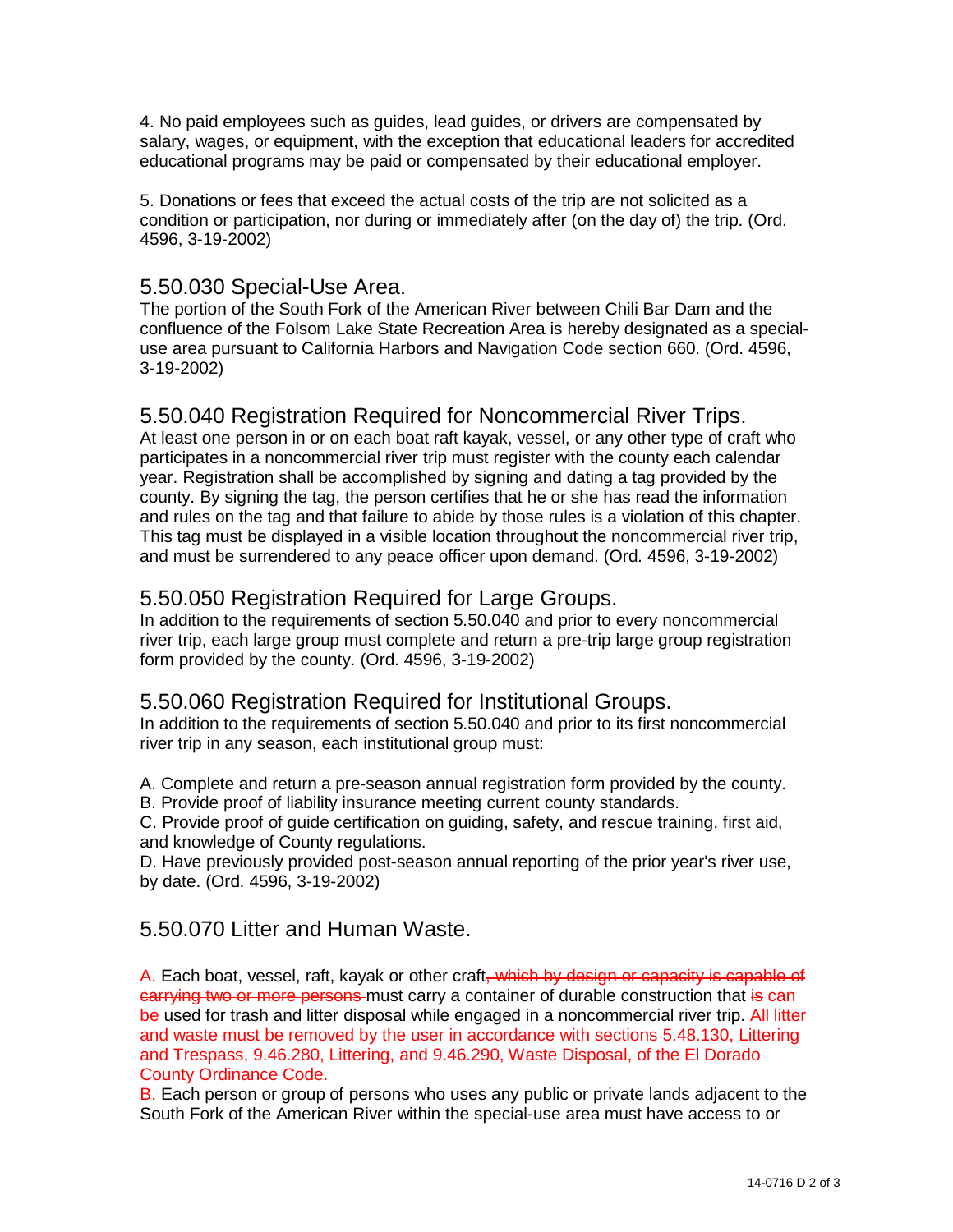4. No paid employees such as guides, lead guides, or drivers are compensated by salary, wages, or equipment, with the exception that educational leaders for accredited educational programs may be paid or compensated by their educational employer.

5. Donations or fees that exceed the actual costs of the trip are not solicited as a condition or participation, nor during or immediately after (on the day of) the trip. (Ord. 4596, 3-19-2002)

#### 5.50.030 Special-Use Area.

The portion of the South Fork of the American River between Chili Bar Dam and the confluence of the Folsom Lake State Recreation Area is hereby designated as a specialuse area pursuant to California Harbors and Navigation Code section 660. (Ord. 4596, 3-19-2002)

### 5.50.040 Registration Required for Noncommercial River Trips.

At least one person in or on each boat raft kayak, vessel, or any other type of craft who participates in a noncommercial river trip must register with the county each calendar year. Registration shall be accomplished by signing and dating a tag provided by the county. By signing the tag, the person certifies that he or she has read the information and rules on the tag and that failure to abide by those rules is a violation of this chapter. This tag must be displayed in a visible location throughout the noncommercial river trip, and must be surrendered to any peace officer upon demand. (Ord. 4596, 3-19-2002)

## 5.50.050 Registration Required for Large Groups.

In addition to the requirements of section 5.50.040 and prior to every noncommercial river trip, each large group must complete and return a pre-trip large group registration form provided by the county. (Ord. 4596, 3-19-2002)

### 5.50.060 Registration Required for Institutional Groups.

In addition to the requirements of section 5.50.040 and prior to its first noncommercial river trip in any season, each institutional group must:

A. Complete and return a pre-season annual registration form provided by the county.

B. Provide proof of liability insurance meeting current county standards.

C. Provide proof of guide certification on guiding, safety, and rescue training, first aid, and knowledge of County regulations.

D. Have previously provided post-season annual reporting of the prior year's river use, by date. (Ord. 4596, 3-19-2002)

#### 5.50.070 Litter and Human Waste.

A. Each boat, vessel, raft, kayak or other craft<del>, which by design or capacity is capable of</del> carrying two or more persons must carry a container of durable construction that is can be used for trash and litter disposal while engaged in a noncommercial river trip. All litter and waste must be removed by the user in accordance with sections 5.48.130, Littering and Trespass, 9.46.280, Littering, and 9.46.290, Waste Disposal, of the El Dorado County Ordinance Code.

B. Each person or group of persons who uses any public or private lands adjacent to the South Fork of the American River within the special-use area must have access to or